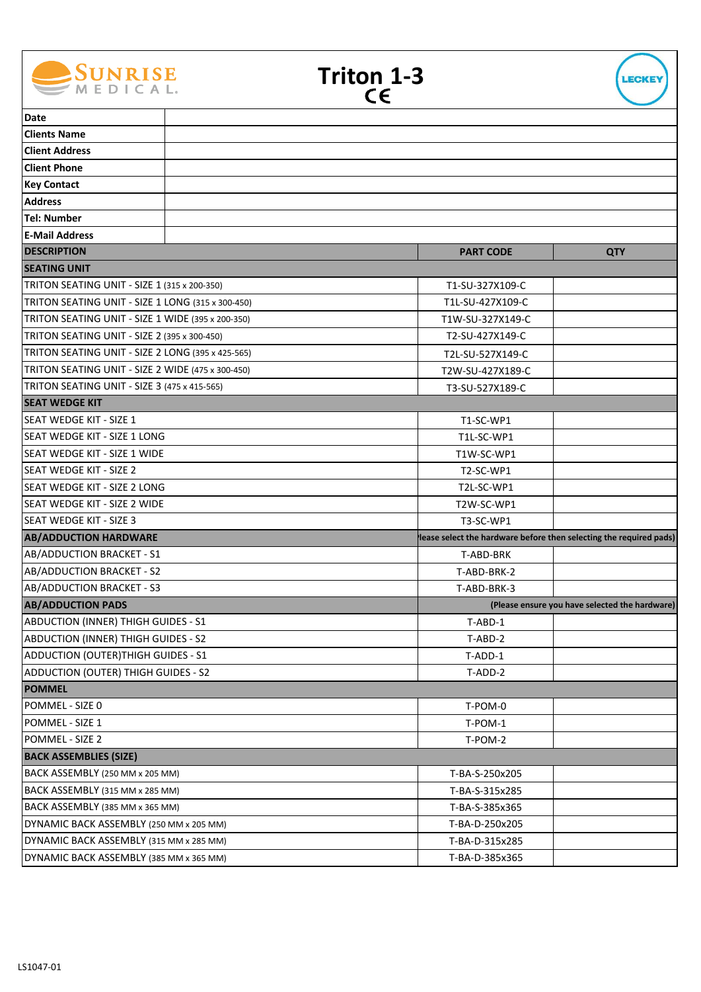

| <b>Triton 1-3</b> |     |  |  |
|-------------------|-----|--|--|
|                   | CE. |  |  |



| <b>Date</b>                                                                        |                                                                    |                                                |
|------------------------------------------------------------------------------------|--------------------------------------------------------------------|------------------------------------------------|
| <b>Clients Name</b>                                                                |                                                                    |                                                |
| <b>Client Address</b>                                                              |                                                                    |                                                |
| <b>Client Phone</b>                                                                |                                                                    |                                                |
| <b>Key Contact</b>                                                                 |                                                                    |                                                |
| <b>Address</b>                                                                     |                                                                    |                                                |
| <b>Tel: Number</b>                                                                 |                                                                    |                                                |
| <b>E-Mail Address</b>                                                              |                                                                    |                                                |
| <b>DESCRIPTION</b>                                                                 | <b>PART CODE</b>                                                   | <b>QTY</b>                                     |
| <b>SEATING UNIT</b>                                                                |                                                                    |                                                |
| TRITON SEATING UNIT - SIZE 1 (315 x 200-350)                                       | T1-SU-327X109-C                                                    |                                                |
| TRITON SEATING UNIT - SIZE 1 LONG (315 x 300-450)                                  | T1L-SU-427X109-C                                                   |                                                |
| TRITON SEATING UNIT - SIZE 1 WIDE (395 x 200-350)                                  | T1W-SU-327X149-C                                                   |                                                |
| TRITON SEATING UNIT - SIZE 2 (395 x 300-450)                                       | T2-SU-427X149-C                                                    |                                                |
| TRITON SEATING UNIT - SIZE 2 LONG (395 x 425-565)                                  | T2L-SU-527X149-C                                                   |                                                |
| TRITON SEATING UNIT - SIZE 2 WIDE (475 x 300-450)                                  | T2W-SU-427X189-C                                                   |                                                |
| TRITON SEATING UNIT - SIZE 3 (475 x 415-565)                                       | T3-SU-527X189-C                                                    |                                                |
| <b>SEAT WEDGE KIT</b>                                                              |                                                                    |                                                |
| lSEAT WEDGE KIT - SIZE 1                                                           | T1-SC-WP1                                                          |                                                |
| SEAT WEDGE KIT - SIZE 1 LONG                                                       | T1L-SC-WP1                                                         |                                                |
| SEAT WEDGE KIT - SIZE 1 WIDE                                                       | T1W-SC-WP1                                                         |                                                |
| <b>SEAT WEDGE KIT - SIZE 2</b>                                                     | T2-SC-WP1                                                          |                                                |
| SEAT WEDGE KIT - SIZE 2 LONG                                                       | T2L-SC-WP1                                                         |                                                |
|                                                                                    |                                                                    |                                                |
| ISEAT WEDGE KIT - SIZE 2 WIDE                                                      | T2W-SC-WP1                                                         |                                                |
| lSEAT WEDGE KIT - SIZE 3                                                           | T3-SC-WP1                                                          |                                                |
| <b>AB/ADDUCTION HARDWARE</b>                                                       | lease select the hardware before then selecting the required pads) |                                                |
| AB/ADDUCTION BRACKET - S1                                                          | T-ABD-BRK                                                          |                                                |
| AB/ADDUCTION BRACKET - S2                                                          | T-ABD-BRK-2                                                        |                                                |
| AB/ADDUCTION BRACKET - S3                                                          | T-ABD-BRK-3                                                        |                                                |
| <b>AB/ADDUCTION PADS</b>                                                           |                                                                    | (Please ensure you have selected the hardware) |
| <b>ABDUCTION (INNER) THIGH GUIDES - S1</b>                                         | T-ABD-1                                                            |                                                |
| <b>ABDUCTION (INNER) THIGH GUIDES - S2</b>                                         | T-ABD-2                                                            |                                                |
| ADDUCTION (OUTER)THIGH GUIDES - S1                                                 | T-ADD-1                                                            |                                                |
| <b>ADDUCTION (OUTER) THIGH GUIDES - S2</b>                                         | T-ADD-2                                                            |                                                |
| <b>POMMEL</b>                                                                      |                                                                    |                                                |
| POMMEL - SIZE 0                                                                    | T-POM-0                                                            |                                                |
| POMMEL - SIZE 1                                                                    | T-POM-1                                                            |                                                |
| POMMEL - SIZE 2                                                                    | T-POM-2                                                            |                                                |
| <b>BACK ASSEMBLIES (SIZE)</b>                                                      |                                                                    |                                                |
| BACK ASSEMBLY (250 MM x 205 MM)                                                    | T-BA-S-250x205                                                     |                                                |
| BACK ASSEMBLY (315 MM x 285 MM)                                                    | T-BA-S-315x285                                                     |                                                |
| BACK ASSEMBLY (385 MM x 365 MM)                                                    | T-BA-S-385x365                                                     |                                                |
| DYNAMIC BACK ASSEMBLY (250 MM x 205 MM)                                            | T-BA-D-250x205                                                     |                                                |
| DYNAMIC BACK ASSEMBLY (315 MM x 285 MM)<br>DYNAMIC BACK ASSEMBLY (385 MM x 365 MM) | T-BA-D-315x285                                                     |                                                |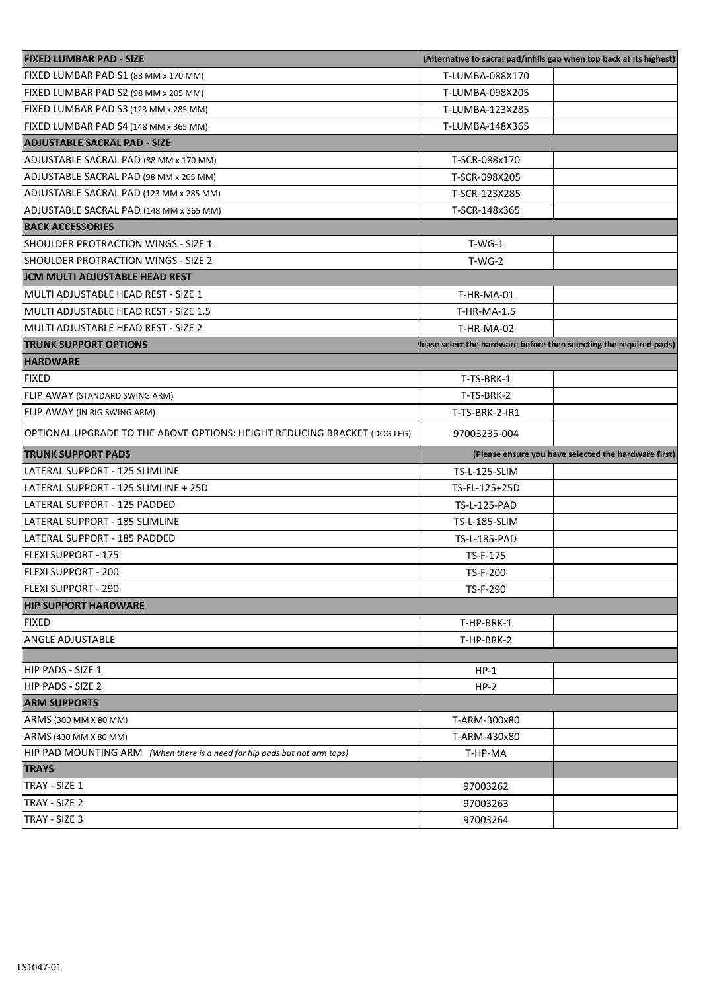| <b>FIXED LUMBAR PAD - SIZE</b>                                            | (Alternative to sacral pad/infills gap when top back at its highest) |                                                      |  |
|---------------------------------------------------------------------------|----------------------------------------------------------------------|------------------------------------------------------|--|
| FIXED LUMBAR PAD S1 (88 MM x 170 MM)                                      | T-LUMBA-088X170                                                      |                                                      |  |
| FIXED LUMBAR PAD S2 (98 MM x 205 MM)                                      | T-LUMBA-098X205                                                      |                                                      |  |
| FIXED LUMBAR PAD S3 (123 MM x 285 MM)                                     | T-LUMBA-123X285                                                      |                                                      |  |
| FIXED LUMBAR PAD S4 (148 MM x 365 MM)                                     | T-LUMBA-148X365                                                      |                                                      |  |
| <b>ADJUSTABLE SACRAL PAD - SIZE</b>                                       |                                                                      |                                                      |  |
| ADJUSTABLE SACRAL PAD (88 MM x 170 MM)                                    | T-SCR-088x170                                                        |                                                      |  |
| ADJUSTABLE SACRAL PAD (98 MM x 205 MM)                                    | T-SCR-098X205                                                        |                                                      |  |
| ADJUSTABLE SACRAL PAD (123 MM x 285 MM)                                   | T-SCR-123X285                                                        |                                                      |  |
| ADJUSTABLE SACRAL PAD (148 MM x 365 MM)                                   | T-SCR-148x365                                                        |                                                      |  |
| <b>BACK ACCESSORIES</b>                                                   |                                                                      |                                                      |  |
| SHOULDER PROTRACTION WINGS - SIZE 1                                       | $T-WG-1$                                                             |                                                      |  |
| <b>SHOULDER PROTRACTION WINGS - SIZE 2</b>                                | $T-WG-2$                                                             |                                                      |  |
| JCM MULTI ADJUSTABLE HEAD REST                                            |                                                                      |                                                      |  |
| MULTI ADJUSTABLE HEAD REST - SIZE 1                                       | T-HR-MA-01                                                           |                                                      |  |
| MULTI ADJUSTABLE HEAD REST - SIZE 1.5                                     | T-HR-MA-1.5                                                          |                                                      |  |
| MULTI ADJUSTABLE HEAD REST - SIZE 2                                       | T-HR-MA-02                                                           |                                                      |  |
| <b>TRUNK SUPPORT OPTIONS</b>                                              | lease select the hardware before then selecting the required pads)   |                                                      |  |
| <b>HARDWARE</b>                                                           |                                                                      |                                                      |  |
| <b>FIXED</b>                                                              | T-TS-BRK-1                                                           |                                                      |  |
| FLIP AWAY (STANDARD SWING ARM)                                            | T-TS-BRK-2                                                           |                                                      |  |
| FLIP AWAY (IN RIG SWING ARM)                                              | T-TS-BRK-2-IR1                                                       |                                                      |  |
| OPTIONAL UPGRADE TO THE ABOVE OPTIONS: HEIGHT REDUCING BRACKET (DOG LEG)  | 97003235-004                                                         |                                                      |  |
|                                                                           |                                                                      |                                                      |  |
| <b>TRUNK SUPPORT PADS</b>                                                 |                                                                      | (Please ensure you have selected the hardware first) |  |
| LATERAL SUPPORT - 125 SLIMLINE                                            | TS-L-125-SLIM                                                        |                                                      |  |
| LATERAL SUPPORT - 125 SLIMLINE + 25D                                      | TS-FL-125+25D                                                        |                                                      |  |
| LATERAL SUPPORT - 125 PADDED                                              | TS-L-125-PAD                                                         |                                                      |  |
| LATERAL SUPPORT - 185 SLIMLINE                                            | TS-L-185-SLIM                                                        |                                                      |  |
| LATERAL SUPPORT - 185 PADDED                                              | <b>TS-L-185-PAD</b>                                                  |                                                      |  |
| <b>FLEXI SUPPORT - 175</b>                                                | TS-F-175                                                             |                                                      |  |
| <b>FLEXI SUPPORT - 200</b>                                                | TS-F-200                                                             |                                                      |  |
| <b>IFLEXI SUPPORT - 290</b>                                               | TS-F-290                                                             |                                                      |  |
| <b>HIP SUPPORT HARDWARE</b>                                               |                                                                      |                                                      |  |
| <b>FIXED</b>                                                              | T-HP-BRK-1                                                           |                                                      |  |
| <b>ANGLE ADJUSTABLE</b>                                                   | T-HP-BRK-2                                                           |                                                      |  |
|                                                                           |                                                                      |                                                      |  |
| HIP PADS - SIZE 1                                                         | $HP-1$                                                               |                                                      |  |
| HIP PADS - SIZE 2                                                         | $HP-2$                                                               |                                                      |  |
| <b>ARM SUPPORTS</b>                                                       |                                                                      |                                                      |  |
| ARMS (300 MM X 80 MM)                                                     | T-ARM-300x80                                                         |                                                      |  |
| ARMS (430 MM X 80 MM)                                                     | T-ARM-430x80                                                         |                                                      |  |
| HIP PAD MOUNTING ARM (When there is a need for hip pads but not arm tops) | T-HP-MA                                                              |                                                      |  |
| <b>TRAYS</b>                                                              |                                                                      |                                                      |  |
| TRAY - SIZE 1                                                             | 97003262                                                             |                                                      |  |
| TRAY - SIZE 2<br>TRAY - SIZE 3                                            | 97003263<br>97003264                                                 |                                                      |  |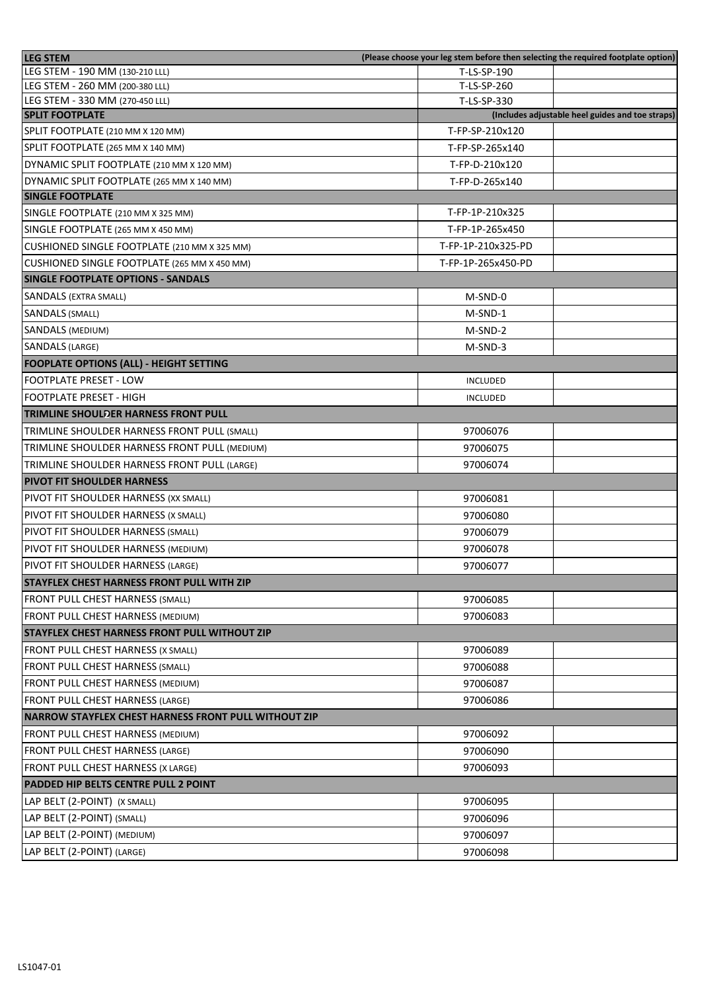| <b>LEG STEM</b>                                             | (Please choose your leg stem before then selecting the required footplate option) |                                                  |
|-------------------------------------------------------------|-----------------------------------------------------------------------------------|--------------------------------------------------|
| LEG STEM - 190 MM (130-210 LLL)                             | T-LS-SP-190                                                                       |                                                  |
| LEG STEM - 260 MM (200-380 LLL)                             | T-LS-SP-260                                                                       |                                                  |
| LEG STEM - 330 MM (270-450 LLL)                             | T-LS-SP-330                                                                       |                                                  |
| <b>SPLIT FOOTPLATE</b>                                      |                                                                                   | (Includes adjustable heel guides and toe straps) |
| SPLIT FOOTPLATE (210 MM X 120 MM)                           | T-FP-SP-210x120                                                                   |                                                  |
| SPLIT FOOTPLATE (265 MM X 140 MM)                           | T-FP-SP-265x140                                                                   |                                                  |
| DYNAMIC SPLIT FOOTPLATE (210 MM X 120 MM)                   | T-FP-D-210x120                                                                    |                                                  |
| DYNAMIC SPLIT FOOTPLATE (265 MM X 140 MM)                   | T-FP-D-265x140                                                                    |                                                  |
| <b>SINGLE FOOTPLATE</b>                                     |                                                                                   |                                                  |
| SINGLE FOOTPLATE (210 MM X 325 MM)                          | T-FP-1P-210x325                                                                   |                                                  |
| SINGLE FOOTPLATE (265 MM X 450 MM)                          | T-FP-1P-265x450                                                                   |                                                  |
| CUSHIONED SINGLE FOOTPLATE (210 MM X 325 MM)                | T-FP-1P-210x325-PD                                                                |                                                  |
| CUSHIONED SINGLE FOOTPLATE (265 MM X 450 MM)                | T-FP-1P-265x450-PD                                                                |                                                  |
| <b>SINGLE FOOTPLATE OPTIONS - SANDALS</b>                   |                                                                                   |                                                  |
| <b>SANDALS (EXTRA SMALL)</b>                                | M-SND-0                                                                           |                                                  |
| <b>SANDALS (SMALL)</b>                                      | M-SND-1                                                                           |                                                  |
| <b>SANDALS (MEDIUM)</b>                                     | M-SND-2                                                                           |                                                  |
| <b>SANDALS (LARGE)</b>                                      | M-SND-3                                                                           |                                                  |
| <b>FOOPLATE OPTIONS (ALL) - HEIGHT SETTING</b>              |                                                                                   |                                                  |
| <b>FOOTPLATE PRESET - LOW</b>                               | <b>INCLUDED</b>                                                                   |                                                  |
| <b>FOOTPLATE PRESET - HIGH</b>                              | <b>INCLUDED</b>                                                                   |                                                  |
| <b>TRIMLINE SHOULDER HARNESS FRONT PULL</b>                 |                                                                                   |                                                  |
| TRIMLINE SHOULDER HARNESS FRONT PULL (SMALL)                | 97006076                                                                          |                                                  |
| TRIMLINE SHOULDER HARNESS FRONT PULL (MEDIUM)               | 97006075                                                                          |                                                  |
| TRIMLINE SHOULDER HARNESS FRONT PULL (LARGE)                | 97006074                                                                          |                                                  |
|                                                             |                                                                                   |                                                  |
| <b>PIVOT FIT SHOULDER HARNESS</b>                           |                                                                                   |                                                  |
| PIVOT FIT SHOULDER HARNESS (XX SMALL)                       | 97006081                                                                          |                                                  |
| PIVOT FIT SHOULDER HARNESS (X SMALL)                        | 97006080                                                                          |                                                  |
| PIVOT FIT SHOULDER HARNESS (SMALL)                          | 97006079                                                                          |                                                  |
| PIVOT FIT SHOULDER HARNESS (MEDIUM)                         | 97006078                                                                          |                                                  |
| PIVOT FIT SHOULDER HARNESS (LARGE)                          | 97006077                                                                          |                                                  |
| STAYFLEX CHEST HARNESS FRONT PULL WITH ZIP                  |                                                                                   |                                                  |
| FRONT PULL CHEST HARNESS (SMALL)                            | 97006085                                                                          |                                                  |
| FRONT PULL CHEST HARNESS (MEDIUM)                           | 97006083                                                                          |                                                  |
| <b>STAYFLEX CHEST HARNESS FRONT PULL WITHOUT ZIP</b>        |                                                                                   |                                                  |
| FRONT PULL CHEST HARNESS (X SMALL)                          | 97006089                                                                          |                                                  |
| FRONT PULL CHEST HARNESS (SMALL)                            | 97006088                                                                          |                                                  |
| FRONT PULL CHEST HARNESS (MEDIUM)                           | 97006087                                                                          |                                                  |
| <b>FRONT PULL CHEST HARNESS (LARGE)</b>                     | 97006086                                                                          |                                                  |
| <b>NARROW STAYFLEX CHEST HARNESS FRONT PULL WITHOUT ZIP</b> |                                                                                   |                                                  |
| FRONT PULL CHEST HARNESS (MEDIUM)                           | 97006092                                                                          |                                                  |
| FRONT PULL CHEST HARNESS (LARGE)                            | 97006090                                                                          |                                                  |
| FRONT PULL CHEST HARNESS (X LARGE)                          | 97006093                                                                          |                                                  |
|                                                             |                                                                                   |                                                  |
| <b>PADDED HIP BELTS CENTRE PULL 2 POINT</b>                 |                                                                                   |                                                  |
| LAP BELT (2-POINT) (X SMALL)                                | 97006095                                                                          |                                                  |
| LAP BELT (2-POINT) (SMALL)                                  | 97006096                                                                          |                                                  |
| LAP BELT (2-POINT) (MEDIUM)                                 | 97006097                                                                          |                                                  |
| LAP BELT (2-POINT) (LARGE)                                  | 97006098                                                                          |                                                  |